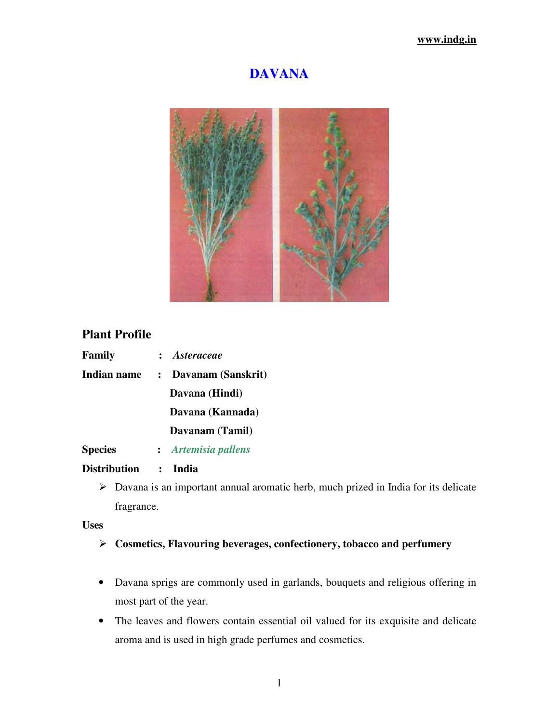# **DAVANA**



# **Plant Profile**

| Family         | : Asteraceae        |
|----------------|---------------------|
| Indian name    | Davanam (Sanskrit)  |
|                | Davana (Hindi)      |
|                | Davana (Kannada)    |
|                | Davanam (Tamil)     |
| <b>Species</b> | : Artemisia pallens |

# **Distribution : India**

 Davana is an important annual aromatic herb, much prized in India for its delicate fragrance.

# **Uses**

- **Cosmetics, Flavouring beverages, confectionery, tobacco and perfumery**
- Davana sprigs are commonly used in garlands, bouquets and religious offering in most part of the year.
- The leaves and flowers contain essential oil valued for its exquisite and delicate aroma and is used in high grade perfumes and cosmetics.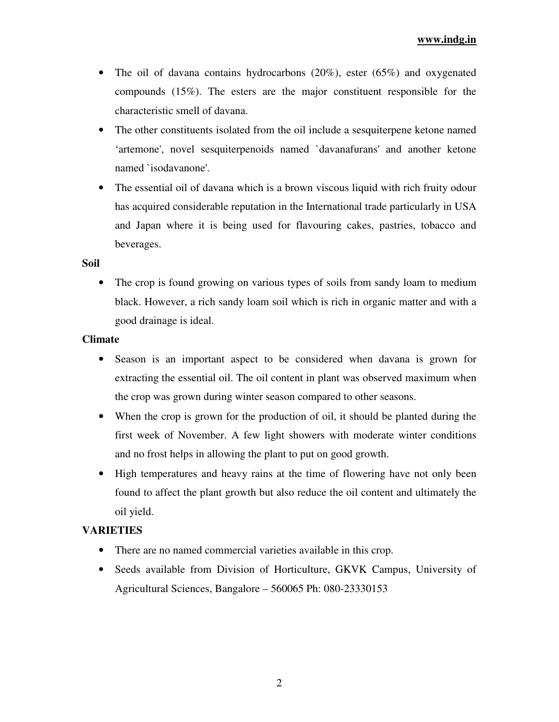- The oil of davana contains hydrocarbons  $(20\%)$ , ester  $(65\%)$  and oxygenated compounds (15%). The esters are the major constituent responsible for the characteristic smell of davana.
- The other constituents isolated from the oil include a sesquiterpene ketone named 'artemone', novel sesquiterpenoids named `davanafurans' and another ketone named `isodavanone'.
- The essential oil of davana which is a brown viscous liquid with rich fruity odour has acquired considerable reputation in the International trade particularly in USA and Japan where it is being used for flavouring cakes, pastries, tobacco and beverages.

# **Soil**

• The crop is found growing on various types of soils from sandy loam to medium black. However, a rich sandy loam soil which is rich in organic matter and with a good drainage is ideal.

# **Climate**

- Season is an important aspect to be considered when davana is grown for extracting the essential oil. The oil content in plant was observed maximum when the crop was grown during winter season compared to other seasons.
- When the crop is grown for the production of oil, it should be planted during the first week of November. A few light showers with moderate winter conditions and no frost helps in allowing the plant to put on good growth.
- High temperatures and heavy rains at the time of flowering have not only been found to affect the plant growth but also reduce the oil content and ultimately the oil yield.

# **VARIETIES**

- There are no named commercial varieties available in this crop.
- Seeds available from Division of Horticulture, GKVK Campus, University of Agricultural Sciences, Bangalore – 560065 Ph: 080-23330153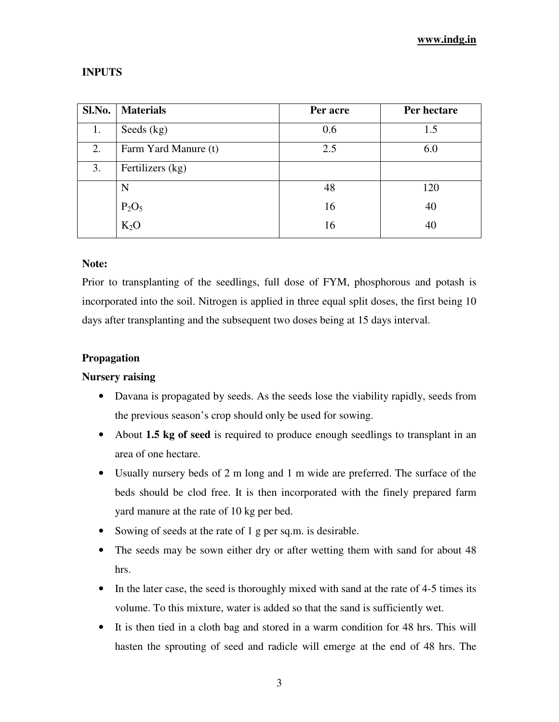# **INPUTS**

| Sl.No. | <b>Materials</b>     | Per acre | Per hectare |
|--------|----------------------|----------|-------------|
| 1.     | Seeds (kg)           | 0.6      | 1.5         |
| 2.     | Farm Yard Manure (t) | 2.5      | 6.0         |
| 3.     | Fertilizers (kg)     |          |             |
|        | N                    | 48       | 120         |
|        | $P_2O_5$             | 16       | 40          |
|        | $K_2O$               | 16       | 40          |

#### **Note:**

Prior to transplanting of the seedlings, full dose of FYM, phosphorous and potash is incorporated into the soil. Nitrogen is applied in three equal split doses, the first being 10 days after transplanting and the subsequent two doses being at 15 days interval.

#### **Propagation**

#### **Nursery raising**

- Davana is propagated by seeds. As the seeds lose the viability rapidly, seeds from the previous season's crop should only be used for sowing.
- About **1.5 kg of seed** is required to produce enough seedlings to transplant in an area of one hectare.
- Usually nursery beds of 2 m long and 1 m wide are preferred. The surface of the beds should be clod free. It is then incorporated with the finely prepared farm yard manure at the rate of 10 kg per bed.
- Sowing of seeds at the rate of 1 g per sq.m. is desirable.
- The seeds may be sown either dry or after wetting them with sand for about 48 hrs.
- In the later case, the seed is thoroughly mixed with sand at the rate of 4-5 times its volume. To this mixture, water is added so that the sand is sufficiently wet.
- It is then tied in a cloth bag and stored in a warm condition for 48 hrs. This will hasten the sprouting of seed and radicle will emerge at the end of 48 hrs. The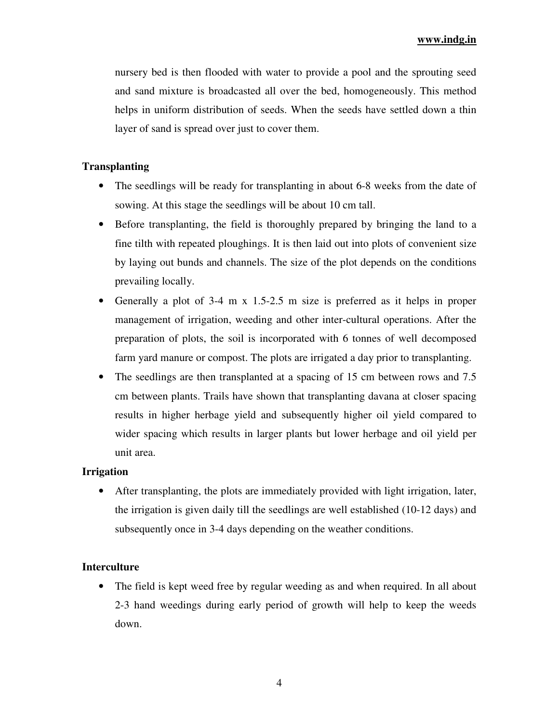## **www.indg.in**

nursery bed is then flooded with water to provide a pool and the sprouting seed and sand mixture is broadcasted all over the bed, homogeneously. This method helps in uniform distribution of seeds. When the seeds have settled down a thin layer of sand is spread over just to cover them.

#### **Transplanting**

- The seedlings will be ready for transplanting in about 6-8 weeks from the date of sowing. At this stage the seedlings will be about 10 cm tall.
- Before transplanting, the field is thoroughly prepared by bringing the land to a fine tilth with repeated ploughings. It is then laid out into plots of convenient size by laying out bunds and channels. The size of the plot depends on the conditions prevailing locally.
- Generally a plot of 3-4 m x 1.5-2.5 m size is preferred as it helps in proper management of irrigation, weeding and other inter-cultural operations. After the preparation of plots, the soil is incorporated with 6 tonnes of well decomposed farm yard manure or compost. The plots are irrigated a day prior to transplanting.
- The seedlings are then transplanted at a spacing of 15 cm between rows and 7.5 cm between plants. Trails have shown that transplanting davana at closer spacing results in higher herbage yield and subsequently higher oil yield compared to wider spacing which results in larger plants but lower herbage and oil yield per unit area.

#### **Irrigation**

• After transplanting, the plots are immediately provided with light irrigation, later, the irrigation is given daily till the seedlings are well established (10-12 days) and subsequently once in 3-4 days depending on the weather conditions.

## **Interculture**

• The field is kept weed free by regular weeding as and when required. In all about 2-3 hand weedings during early period of growth will help to keep the weeds down.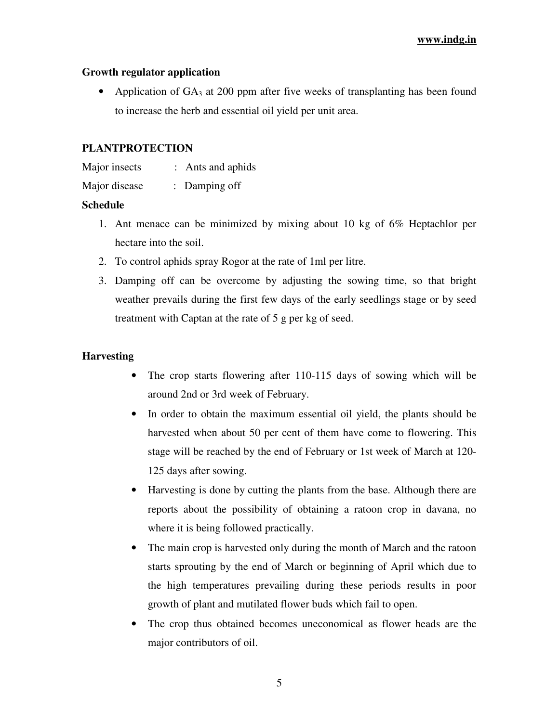#### **www.indg.in**

#### **Growth regulator application**

• Application of  $GA_3$  at 200 ppm after five weeks of transplanting has been found to increase the herb and essential oil yield per unit area.

## **PLANTPROTECTION**

| Major insects | Ants and aphids |
|---------------|-----------------|
|---------------|-----------------|

Major disease : Damping off

## **Schedule**

- 1. Ant menace can be minimized by mixing about 10 kg of 6% Heptachlor per hectare into the soil.
- 2. To control aphids spray Rogor at the rate of 1ml per litre.
- 3. Damping off can be overcome by adjusting the sowing time, so that bright weather prevails during the first few days of the early seedlings stage or by seed treatment with Captan at the rate of 5 g per kg of seed.

## **Harvesting**

- The crop starts flowering after 110-115 days of sowing which will be around 2nd or 3rd week of February.
- In order to obtain the maximum essential oil yield, the plants should be harvested when about 50 per cent of them have come to flowering. This stage will be reached by the end of February or 1st week of March at 120- 125 days after sowing.
- Harvesting is done by cutting the plants from the base. Although there are reports about the possibility of obtaining a ratoon crop in davana, no where it is being followed practically.
- The main crop is harvested only during the month of March and the ratoon starts sprouting by the end of March or beginning of April which due to the high temperatures prevailing during these periods results in poor growth of plant and mutilated flower buds which fail to open.
- The crop thus obtained becomes uneconomical as flower heads are the major contributors of oil.